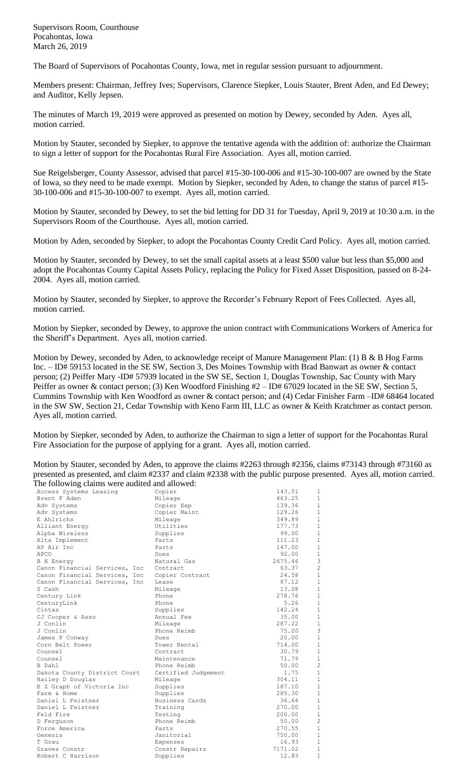Supervisors Room, Courthouse Pocahontas, Iowa March 26, 2019

The Board of Supervisors of Pocahontas County, Iowa, met in regular session pursuant to adjournment.

Members present: Chairman, Jeffrey Ives; Supervisors, Clarence Siepker, Louis Stauter, Brent Aden, and Ed Dewey; and Auditor, Kelly Jepsen.

The minutes of March 19, 2019 were approved as presented on motion by Dewey, seconded by Aden. Ayes all, motion carried.

Motion by Stauter, seconded by Siepker, to approve the tentative agenda with the addition of: authorize the Chairman to sign a letter of support for the Pocahontas Rural Fire Association. Ayes all, motion carried.

Sue Reigelsberger, County Assessor, advised that parcel #15-30-100-006 and #15-30-100-007 are owned by the State of Iowa, so they need to be made exempt. Motion by Siepker, seconded by Aden, to change the status of parcel #15- 30-100-006 and #15-30-100-007 to exempt. Ayes all, motion carried.

Motion by Stauter, seconded by Dewey, to set the bid letting for DD 31 for Tuesday, April 9, 2019 at 10:30 a.m. in the Supervisors Room of the Courthouse. Ayes all, motion carried.

Motion by Aden, seconded by Siepker, to adopt the Pocahontas County Credit Card Policy. Ayes all, motion carried.

Motion by Stauter, seconded by Dewey, to set the small capital assets at a least \$500 value but less than \$5,000 and adopt the Pocahontas County Capital Assets Policy, replacing the Policy for Fixed Asset Disposition, passed on 8-24- 2004. Ayes all, motion carried.

Motion by Stauter, seconded by Siepker, to approve the Recorder's February Report of Fees Collected. Ayes all, motion carried.

Motion by Siepker, seconded by Dewey, to approve the union contract with Communications Workers of America for the Sheriff's Department. Ayes all, motion carried.

Motion by Dewey, seconded by Aden, to acknowledge receipt of Manure Management Plan: (1) B & B Hog Farms Inc. – ID# 59153 located in the SE SW, Section 3, Des Moines Township with Brad Banwart as owner & contact person; (2) Peiffer Mary -ID# 57939 located in the SW SE, Section 1, Douglas Township, Sac County with Mary Peiffer as owner & contact person; (3) Ken Woodford Finishing #2 – ID# 67029 located in the SE SW, Section 5, Cummins Township with Ken Woodford as owner & contact person; and (4) Cedar Finisher Farm –ID# 68464 located in the SW SW, Section 21, Cedar Township with Keno Farm III, LLC as owner & Keith Kratchmer as contact person. Ayes all, motion carried.

Motion by Siepker, seconded by Aden, to authorize the Chairman to sign a letter of support for the Pocahontas Rural Fire Association for the purpose of applying for a grant. Ayes all, motion carried.

Motion by Stauter, seconded by Aden, to approve the claims #2263 through #2356, claims #73143 through #73160 as presented as presented, and claim #2337 and claim #2338 with the public purpose presented. Ayes all, motion carried. The following claims were audited and allowed:

| Access Systems Leasing         | Copier              | 143.51  | 1              |
|--------------------------------|---------------------|---------|----------------|
| Brent F Aden                   | Mileage             | 463.25  | $\mathbf{1}$   |
| Adv Systems                    | Copier Exp          | 139.36  | $\mathbf{1}$   |
| Adv Systems                    | Copier Maint        | 129.26  | $\mathbf{1}$   |
| E Ahlrichs                     | Mileage             | 349.89  | $\mathbf{1}$   |
| Alliant Energy                 | Utilities           | 177.73  | $\mathbf{1}$   |
| Alpha Wireless                 | Supplies            | 99.00   | $\mathbf{1}$   |
| Alta Implement                 | Parts               | 111.23  | $\mathbf{1}$   |
| AP Air Inc                     | Parts               | 147.00  | $\mathbf{1}$   |
| APCO                           | Dues                | 92.00   | $\mathbf{1}$   |
| <b>B</b> H Energy              | Natural Gas         | 2675.46 | 3              |
| Canon Financial Services, Inc  | Contract            | 63.37   | $\overline{2}$ |
| Canon Financial Services, Inc  | Copier Contract     | 24.58   | $\mathbf{1}$   |
| Canon Financial Services, Inc. | Lease               | 87.12   | $\mathbf{1}$   |
| S Cash                         | Mileage             | 13.08   | $\mathbf{1}$   |
| Century Link                   | Phone               | 278.76  | $\mathbf{1}$   |
| CenturyLink                    | Phone               | 5.26    | $\mathbf{1}$   |
| Cintas                         | Supplies            | 142.24  | $\mathbf{1}$   |
| CJ Cooper & Asso               | Annual Fee          | 35.00   | $\mathbf{1}$   |
| J Conlin                       | Mileage             | 287.22  | $\mathbf{1}$   |
| J Conlin                       | Phone Reimb         | 75.00   | 3              |
| James P Conway                 | Dues                | 20.00   | $\mathbf{1}$   |
| Corn Belt Power                | Tower Rental        | 714.00  | $\mathbf{1}$   |
| Counsel                        | Contract            | 30.79   | $\mathbf{1}$   |
| Counsel                        | Maintenance         | 71.79   | $\mathbf{1}$   |
| B Dahl                         | Phone Reimb         | 50.00   | $\overline{c}$ |
| Dakota County District Court   | Certified Judgement | 1.75    | $\mathbf{1}$   |
| Hailey D Douglas               | Mileage             | 304.11  | $\mathbf{1}$   |
| E Z Graph of Victoria Inc      | Supplies            | 187.10  | $\mathbf{1}$   |
| Farm & Home                    | Supplies            | 285.30  | $\mathbf{1}$   |
| Daniel L Feistner              | Business Cards      | 36.64   | $\mathbf{1}$   |
| Daniel L Feistner              | Training            | 270.00  | $\mathbf{1}$   |
| Feld Fire                      | Testing             | 200.00  | $\mathbf{1}$   |
| D Ferquson                     | Phone Reimb         | 50.00   | $\overline{c}$ |
| Force America                  | Parts               | 270.55  | $\mathbf{1}$   |
| Genesis                        | Janitorial          | 750.00  | $\mathbf{1}$   |
| T Grau                         | Expenses            | 16.93   | $\mathbf{1}$   |
| Graves Constr                  | Constr Repairs      | 7171.02 | $\mathbf{1}$   |
| Robert C Harrison              | Supplies            | 12.83   | $\mathbf{1}$   |
|                                |                     |         |                |